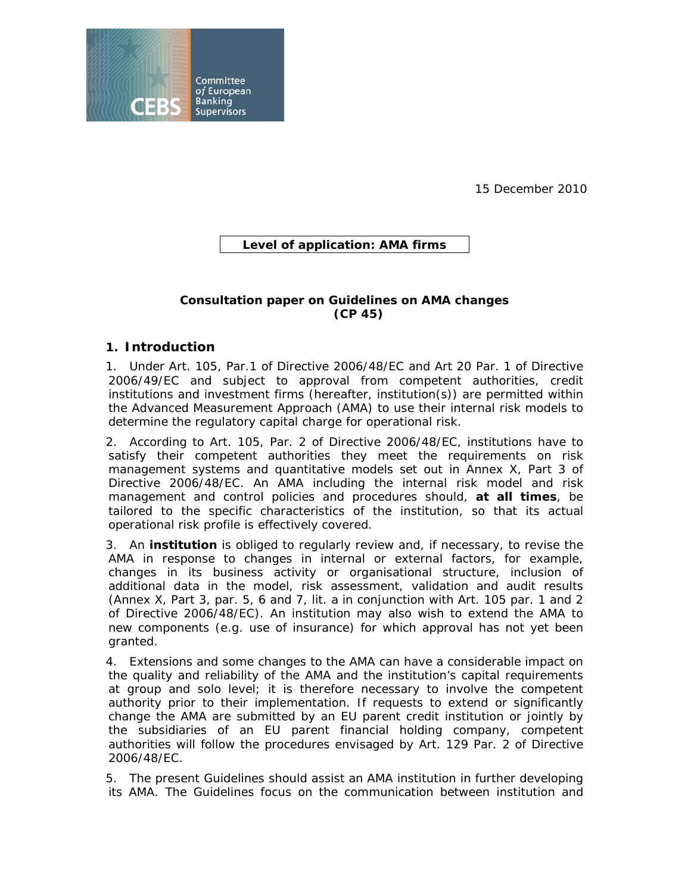

15 December 2010

# **Level of application: AMA firms**

### **Consultation paper on Guidelines on AMA changes (CP 45)**

## **1. Introduction**

1. Under Art. 105, Par.1 of Directive 2006/48/EC and Art 20 Par. 1 of Directive 2006/49/EC and subject to approval from competent authorities, credit institutions and investment firms (hereafter, institution(s)) are permitted within the Advanced Measurement Approach (AMA) to use their internal risk models to determine the regulatory capital charge for operational risk.

2. According to Art. 105, Par. 2 of Directive 2006/48/EC, institutions have to satisfy their competent authorities they meet the requirements on risk management systems and quantitative models set out in Annex X, Part 3 of Directive 2006/48/EC. An AMA including the internal risk model and risk management and control policies and procedures should, **at all times**, be tailored to the specific characteristics of the institution, so that its actual operational risk profile is effectively covered.

3. An **institution** is obliged to regularly review and, if necessary, to revise the AMA in response to changes in internal or external factors, for example, changes in its business activity or organisational structure, inclusion of additional data in the model, risk assessment, validation and audit results (Annex X, Part 3, par. 5, 6 and 7, lit. a in conjunction with Art. 105 par. 1 and 2 of Directive 2006/48/EC). An institution may also wish to extend the AMA to new components (e.g. use of insurance) for which approval has not yet been granted.

4. Extensions and some changes to the AMA can have a considerable impact on the quality and reliability of the AMA and the institution's capital requirements at group and solo level; it is therefore necessary to involve the competent authority prior to their implementation. If requests to extend or significantly change the AMA are submitted by an EU parent credit institution or jointly by the subsidiaries of an EU parent financial holding company, competent authorities will follow the procedures envisaged by Art. 129 Par. 2 of Directive 2006/48/EC.

5. The present Guidelines should assist an AMA institution in further developing its AMA. The Guidelines focus on the communication between institution and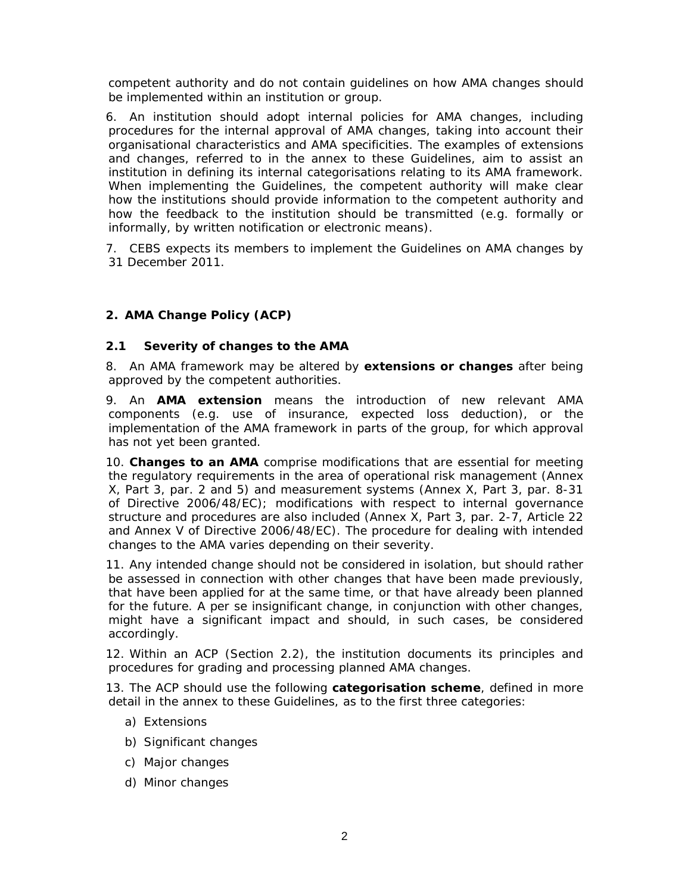competent authority and do not contain guidelines on how AMA changes should be implemented within an institution or group.

6. An institution should adopt internal policies for AMA changes, including procedures for the internal approval of AMA changes, taking into account their organisational characteristics and AMA specificities. The examples of extensions and changes, referred to in the annex to these Guidelines, aim to assist an institution in defining its internal categorisations relating to its AMA framework. When implementing the Guidelines, the competent authority will make clear how the institutions should provide information to the competent authority and how the feedback to the institution should be transmitted (e.g. formally or informally, by written notification or electronic means).

7. CEBS expects its members to implement the Guidelines on AMA changes by 31 December 2011.

## **2. AMA Change Policy (ACP)**

#### **2.1 Severity of changes to the AMA**

8. An AMA framework may be altered by *extensions* **or** *changes* after being approved by the competent authorities.

9. An **AMA** *extension* means the introduction of new relevant AMA components (e.g. use of insurance, expected loss deduction), or the implementation of the AMA framework in parts of the group, for which approval has not yet been granted.

10. *Changes* **to an AMA** comprise modifications that are essential for meeting the regulatory requirements in the area of operational risk management (Annex X, Part 3, par. 2 and 5) and measurement systems (Annex X, Part 3, par. 8-31 of Directive 2006/48/EC); modifications with respect to internal governance structure and procedures are also included (Annex X, Part 3, par. 2-7, Article 22 and Annex V of Directive 2006/48/EC). The procedure for dealing with intended changes to the AMA varies depending on their severity.

11. Any intended change should not be considered in isolation, but should rather be assessed in connection with other changes that have been made previously, that have been applied for at the same time, or that have already been planned for the future. A per se insignificant change, in conjunction with other changes, might have a significant impact and should, in such cases, be considered accordingly.

12. Within an ACP (Section 2.2), the institution documents its principles and procedures for grading and processing planned AMA changes.

13. The ACP should use the following **categorisation scheme**, defined in more detail in the annex to these Guidelines, as to the first three categories:

- a) Extensions
- b) Significant changes
- c) Major changes
- d) Minor changes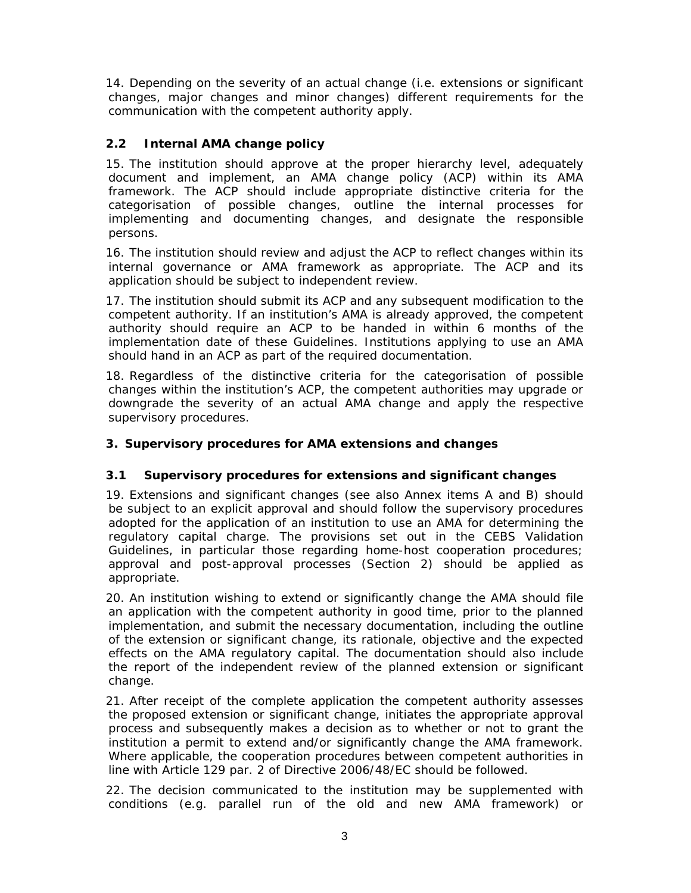14. Depending on the severity of an actual change (i.e. extensions or significant changes, major changes and minor changes) different requirements for the communication with the competent authority apply.

# **2.2 Internal AMA change policy**

15. The institution should approve at the proper hierarchy level, adequately document and implement, an AMA change policy (ACP) within its AMA framework. The ACP should include appropriate distinctive criteria for the categorisation of possible changes, outline the internal processes for implementing and documenting changes, and designate the responsible persons.

16. The institution should review and adjust the ACP to reflect changes within its internal governance or AMA framework as appropriate. The ACP and its application should be subject to independent review.

17. The institution should submit its ACP and any subsequent modification to the competent authority. If an institution's AMA is already approved, the competent authority should require an ACP to be handed in within 6 months of the implementation date of these Guidelines. Institutions applying to use an AMA should hand in an ACP as part of the required documentation.

18. Regardless of the distinctive criteria for the categorisation of possible changes within the institution's ACP, the competent authorities may upgrade or downgrade the severity of an actual AMA change and apply the respective supervisory procedures.

# **3. Supervisory procedures for AMA extensions and changes**

## **3.1 Supervisory procedures for extensions and significant changes**

19. Extensions and significant changes (see also Annex items A and B) should be subject to an explicit approval and should follow the supervisory procedures adopted for the application of an institution to use an AMA for determining the regulatory capital charge. The provisions set out in the CEBS Validation Guidelines, in particular those regarding home-host cooperation procedures; approval and post-approval processes (Section 2) should be applied as appropriate.

20. An institution wishing to extend or significantly change the AMA should file an application with the competent authority in good time, prior to the planned implementation, and submit the necessary documentation, including the outline of the extension or significant change, its rationale, objective and the expected effects on the AMA regulatory capital. The documentation should also include the report of the independent review of the planned extension or significant change.

21. After receipt of the complete application the competent authority assesses the proposed extension or significant change, initiates the appropriate approval process and subsequently makes a decision as to whether or not to grant the institution a permit to extend and/or significantly change the AMA framework. Where applicable, the cooperation procedures between competent authorities in line with Article 129 par. 2 of Directive 2006/48/EC should be followed.

22. The decision communicated to the institution may be supplemented with conditions (e.g. parallel run of the old and new AMA framework) or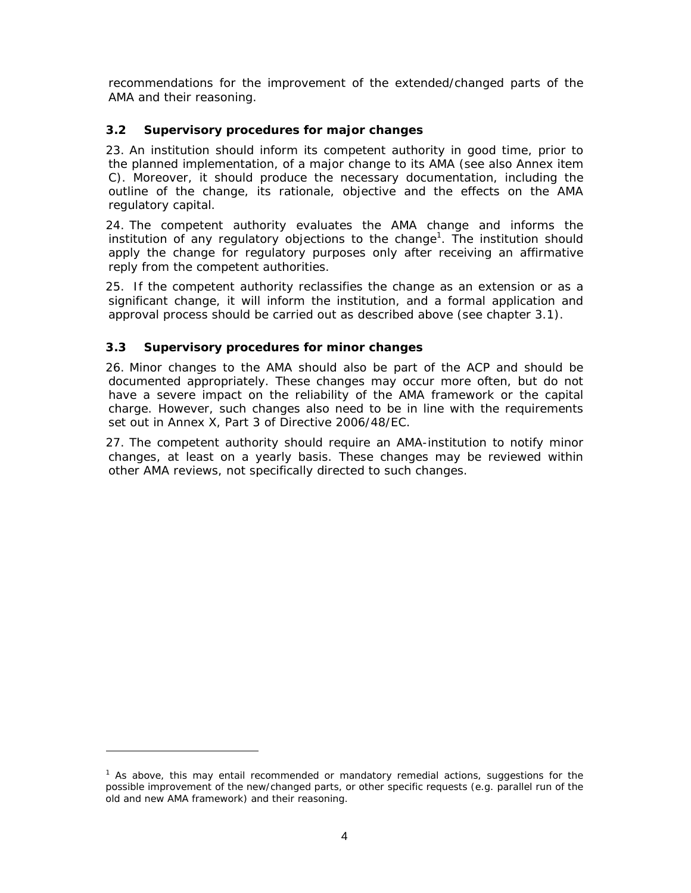recommendations for the improvement of the extended/changed parts of the AMA and their reasoning.

# **3.2 Supervisory procedures for major changes**

23. An institution should inform its competent authority in good time, prior to the planned implementation, of a major change to its AMA (see also Annex item C). Moreover, it should produce the necessary documentation, including the outline of the change, its rationale, objective and the effects on the AMA regulatory capital.

24. The competent authority evaluates the AMA change and informs the institution of any regulatory objections to the change<sup>1</sup>. The institution should apply the change for regulatory purposes only after receiving an affirmative reply from the competent authorities.

25. If the competent authority reclassifies the change as an extension or as a significant change, it will inform the institution, and a formal application and approval process should be carried out as described above (see chapter 3.1).

# **3.3 Supervisory procedures for minor changes**

-

26. Minor changes to the AMA should also be part of the ACP and should be documented appropriately. These changes may occur more often, but do not have a severe impact on the reliability of the AMA framework or the capital charge. However, such changes also need to be in line with the requirements set out in Annex X, Part 3 of Directive 2006/48/EC.

27. The competent authority should require an AMA-institution to notify minor changes, at least on a yearly basis. These changes may be reviewed within other AMA reviews, not specifically directed to such changes.

<sup>&</sup>lt;sup>1</sup> As above, this may entail recommended or mandatory remedial actions, suggestions for the possible improvement of the new/changed parts, or other specific requests (e.g. parallel run of the old and new AMA framework) and their reasoning.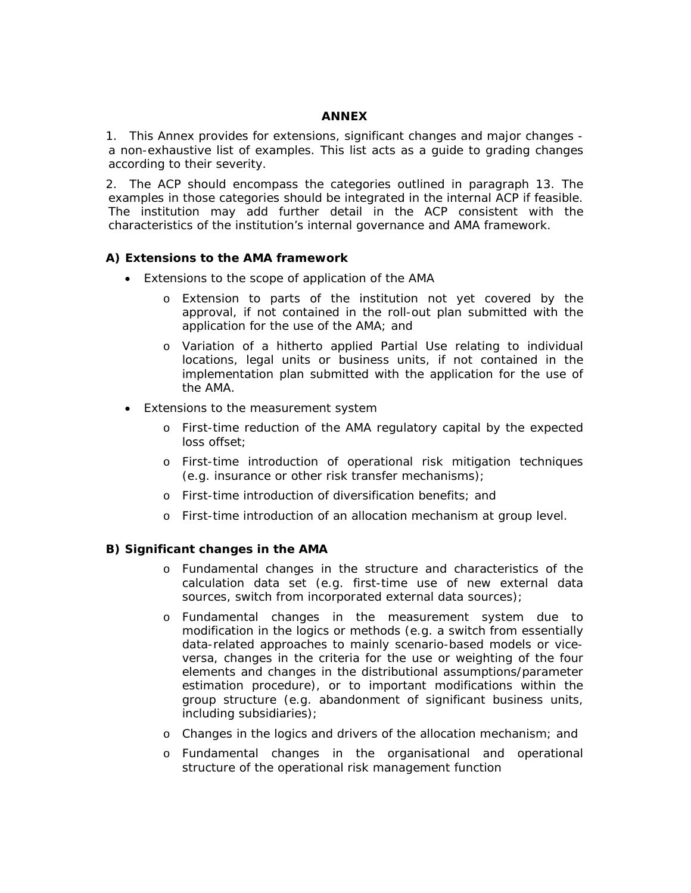#### **ANNEX**

1. This Annex provides for extensions, significant changes and major changes a non-exhaustive list of examples. This list acts as a guide to grading changes according to their severity.

2. The ACP should encompass the categories outlined in paragraph 13. The examples in those categories should be integrated in the internal ACP if feasible. The institution may add further detail in the ACP consistent with the characteristics of the institution's internal governance and AMA framework.

#### **A) Extensions to the AMA framework**

- Extensions to the *scope of application* of the AMA
	- o Extension to parts of the institution not yet covered by the approval, if not contained in the roll-out plan submitted with the application for the use of the AMA; and
	- o Variation of a hitherto applied Partial Use relating to individual locations, legal units or business units, if not contained in the implementation plan submitted with the application for the use of the AMA.
- Extensions to the *measurement system* 
	- o First-time reduction of the AMA regulatory capital by the expected loss offset;
	- o First-time introduction of operational risk mitigation techniques (e.g. insurance or other risk transfer mechanisms);
	- o First-time introduction of diversification benefits; and
	- o First-time introduction of an allocation mechanism at group level.

#### **B) Significant changes in the AMA**

- o Fundamental changes in the structure and characteristics of the calculation data set (e.g. first-time use of new external data sources, switch from incorporated external data sources);
- o Fundamental changes in the measurement system due to modification in the logics or methods (e.g. a switch from essentially data-related approaches to mainly scenario-based models or viceversa, changes in the criteria for the use or weighting of the four elements and changes in the distributional assumptions/parameter estimation procedure), or to important modifications within the group structure (e.g. abandonment of significant business units, including subsidiaries);
- o Changes in the logics and drivers of the allocation mechanism; and
- o Fundamental changes in the organisational and operational structure of the operational risk management function